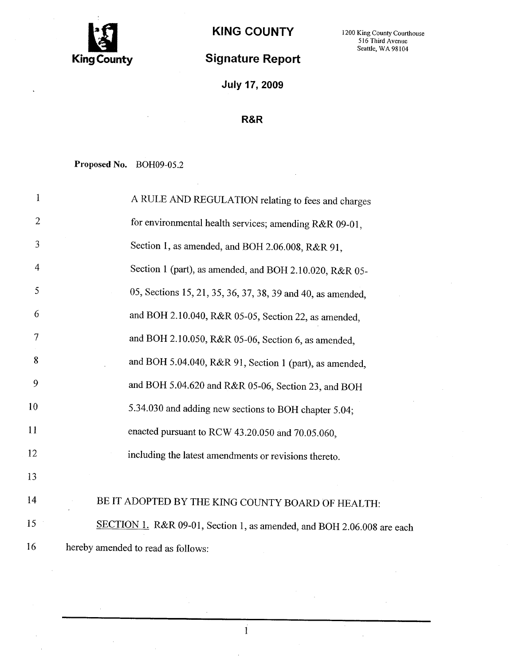

# Signature Report

July 17, 2009

### R&R

Proposed No. BOH09-05.2

| 1          | A RULE AND REGULATION relating to fees and charges                     |
|------------|------------------------------------------------------------------------|
| $\sqrt{2}$ | for environmental health services; amending R&R 09-01,                 |
| 3          | Section 1, as amended, and BOH 2.06.008, R&R 91,                       |
| 4          | Section 1 (part), as amended, and BOH 2.10.020, R&R 05-                |
| 5          | 05, Sections 15, 21, 35, 36, 37, 38, 39 and 40, as amended,            |
| 6          | and BOH 2.10.040, R&R 05-05, Section 22, as amended,                   |
| 7          | and BOH 2.10.050, R&R 05-06, Section 6, as amended,                    |
| 8          | and BOH 5.04.040, R&R 91, Section 1 (part), as amended,                |
| 9          | and BOH 5.04.620 and R&R 05-06, Section 23, and BOH                    |
| 10         | 5.34.030 and adding new sections to BOH chapter 5.04;                  |
| 11         | enacted pursuant to RCW 43.20.050 and 70.05.060,                       |
| 12         | including the latest amendments or revisions thereto.                  |
| 13         |                                                                        |
| 14         | BE IT ADOPTED BY THE KING COUNTY BOARD OF HEALTH:                      |
| 15         | SECTION 1. R&R 09-01, Section 1, as amended, and BOH 2.06.008 are each |
| 16         | hereby amended to read as follows:                                     |

 $\mathbf{i}$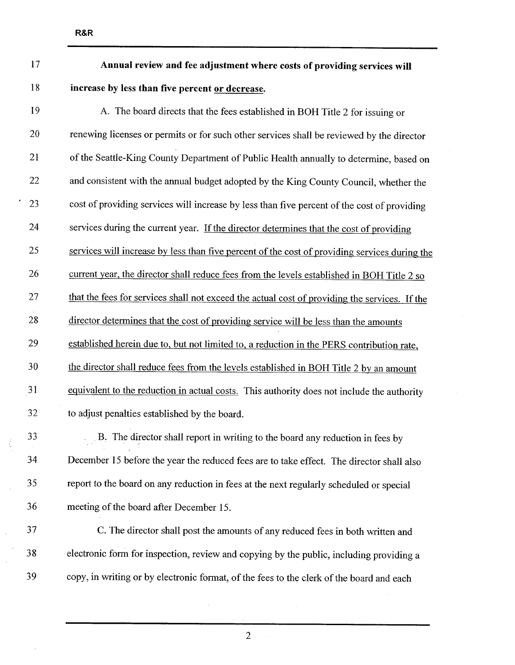# 17 Annual review and fee adjustment where costs of providing services wil 18 increase by less than five percent or decrease.

19 A. The board directs that the fees established in BOH Title 2 for issuing or 20 renewing licenses or permits or for such other services shall be reviewed by the director 21 of the Seattle-King County Department of Public Health annually to determine, based on 22 and consistent with the annual budget adopted by the King County Council, whether the 23 cost of providing services wil increase by less than five percent of the cost of providing 24 services during the current year. If the director determines that the cost of providing 25 services will increase by less than five percent of the cost of providing services during the 26 current year, the director shall reduce fees from the levels established in BOH Title 2 so 27 that the fees for services shall not exceed the actual cost of providing the services. If the 28 director determines that the cost of providing service will be less than the amounts 29 established herein due to, but not limited to, a reduction in the PERS contribution rate, 30 the director shall reduce fees from the levels established in BOH Title 2 by an amount 31 equivalent to the reduction in actual costs. This authority does not include the authority 32 to adjust penalties established by the board. 33 . B. The director shall report in writing to the board any reduction in fees by

34 December 15 before the year the reduced fees are to take effect. The director shall also 35 report to the board on any reduction in fees at the next regularly scheduled or special 36 meeting of the board after December 15.

37 C. The director shall post the amounts of any reduced fees in both written and 38 electronic form for inspection, review and copying by the public, including providing a 39 copy, in writing or by electronic format, of the fees to the clerk of the board and each

2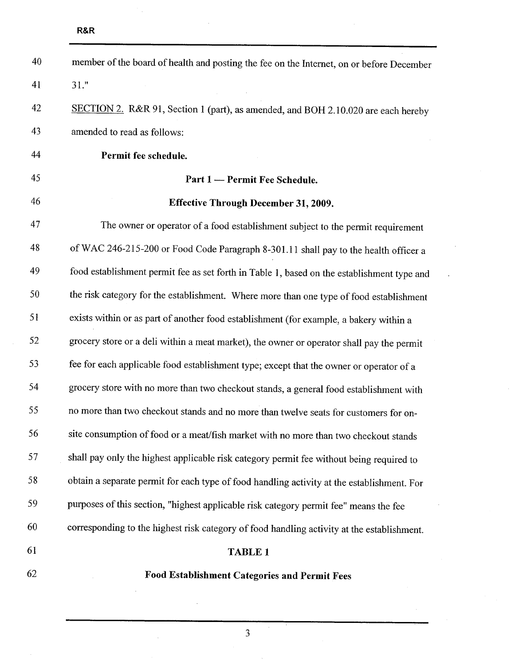| 40 | member of the board of health and posting the fee on the Internet, on or before December   |
|----|--------------------------------------------------------------------------------------------|
| 41 | 31."                                                                                       |
| 42 | SECTION 2. R&R 91, Section 1 (part), as amended, and BOH 2.10.020 are each hereby          |
| 43 | amended to read as follows:                                                                |
| 44 | Permit fee schedule.                                                                       |
| 45 | Part 1 - Permit Fee Schedule.                                                              |
| 46 | Effective Through December 31, 2009.                                                       |
| 47 | The owner or operator of a food establishment subject to the permit requirement            |
| 48 | of WAC 246-215-200 or Food Code Paragraph 8-301.11 shall pay to the health officer a       |
| 49 | food establishment permit fee as set forth in Table 1, based on the establishment type and |
| 50 | the risk category for the establishment. Where more than one type of food establishment    |
| 51 | exists within or as part of another food establishment (for example, a bakery within a     |
| 52 | grocery store or a deli within a meat market), the owner or operator shall pay the permit  |
| 53 | fee for each applicable food establishment type; except that the owner or operator of a    |
| 54 | grocery store with no more than two checkout stands, a general food establishment with     |
| 55 | no more than two checkout stands and no more than twelve seats for customers for on-       |
| 56 | site consumption of food or a meat/fish market with no more than two checkout stands       |
| 57 | shall pay only the highest applicable risk category permit fee without being required to   |
| 58 | obtain a separate permit for each type of food handling activity at the establishment. For |
| 59 | purposes of this section, "highest applicable risk category permit fee" means the fee      |
| 60 | corresponding to the highest risk category of food handling activity at the establishment. |
| 61 | <b>TABLE 1</b>                                                                             |
| 62 | Food Establishment Categories and Permit Fees                                              |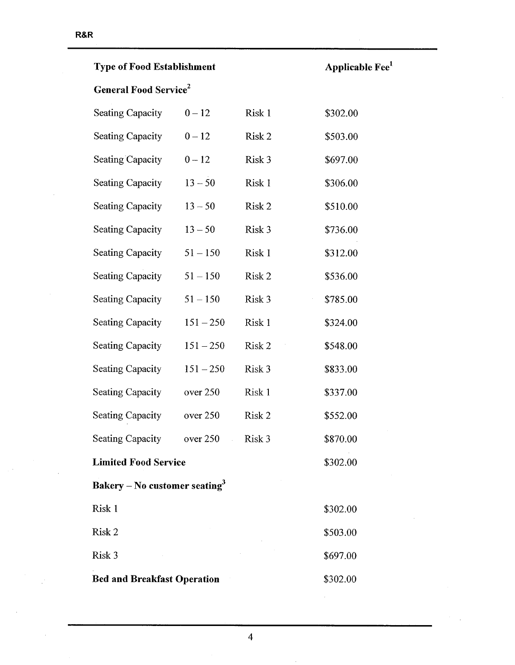$\bar{\mathcal{A}}$ 

| <b>Type of Food Establishment</b>         |                                      |        | Applica  |
|-------------------------------------------|--------------------------------------|--------|----------|
| <b>General Food Service</b> <sup>2</sup>  |                                      |        |          |
| <b>Seating Capacity</b>                   | $0 - 12$                             | Risk 1 | \$302.00 |
| <b>Seating Capacity</b>                   | $0 - 12$                             | Risk 2 | \$503.00 |
| <b>Seating Capacity</b>                   | $0 - 12$                             | Risk 3 | \$697.00 |
| <b>Seating Capacity</b>                   | $13 - 50$                            | Risk 1 | \$306.00 |
| <b>Seating Capacity</b>                   | $13 - 50$                            | Risk 2 | \$510.00 |
| <b>Seating Capacity</b>                   | $13 - 50$                            | Risk 3 | \$736.00 |
| <b>Seating Capacity</b>                   | $51 - 150$                           | Risk 1 | \$312.00 |
| <b>Seating Capacity</b>                   | $51 - 150$                           | Risk 2 | \$536.00 |
| <b>Seating Capacity</b>                   | $51 - 150$                           | Risk 3 | \$785.00 |
| <b>Seating Capacity</b>                   | $151 - 250$                          | Risk 1 | \$324.00 |
| <b>Seating Capacity</b>                   | $151 - 250$                          | Risk 2 | \$548.00 |
| <b>Seating Capacity</b>                   | $151 - 250$                          | Risk 3 | \$833.00 |
| <b>Seating Capacity</b>                   | over 250                             | Risk 1 | \$337.00 |
| <b>Seating Capacity</b>                   | over 250                             | Risk 2 | \$552.00 |
| <b>Seating Capacity</b>                   | over 250<br>$\mathcal{L}_{\rm{max}}$ | Risk 3 | \$870.00 |
| <b>Limited Food Service</b>               |                                      |        | \$302.00 |
| Bakery – No customer seating <sup>3</sup> |                                      |        |          |
| Risk 1                                    |                                      |        | \$302.00 |
| Risk 2                                    |                                      |        | \$503.00 |
| Risk 3                                    |                                      |        | \$697.00 |
| <b>Bed and Breakfast Operation</b>        |                                      |        | \$302.00 |

able Fee $^{\rm 1}$ 

 $\mathcal{L}^{\pm}$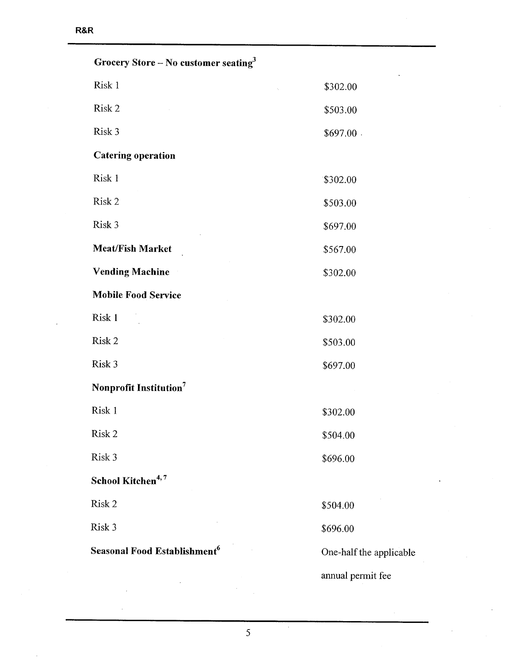| Grocery Store – No customer seating <sup>3</sup> |                         |
|--------------------------------------------------|-------------------------|
| Risk 1                                           | \$302.00                |
| Risk 2                                           | \$503.00                |
| Risk 3                                           | \$697.00.               |
| <b>Catering operation</b>                        |                         |
| Risk 1                                           | \$302.00                |
| Risk 2                                           | \$503.00                |
| Risk 3                                           | \$697.00                |
| <b>Meat/Fish Market</b>                          | \$567.00                |
| <b>Vending Machine</b>                           | \$302.00                |
| <b>Mobile Food Service</b>                       |                         |
| Risk 1                                           | \$302.00                |
| Risk 2                                           | \$503.00                |
| Risk 3                                           | \$697.00                |
| Nonprofit Institution <sup>7</sup>               |                         |
| Risk 1                                           | \$302.00                |
| Risk 2                                           | \$504.00                |
| Risk 3                                           | \$696.00                |
| School Kitchen <sup>4,7</sup>                    |                         |
| Risk 2                                           | \$504.00                |
| Risk 3                                           | \$696.00                |
| Seasonal Food Establishment <sup>6</sup>         | One-half the applicable |
|                                                  | annual permit fee       |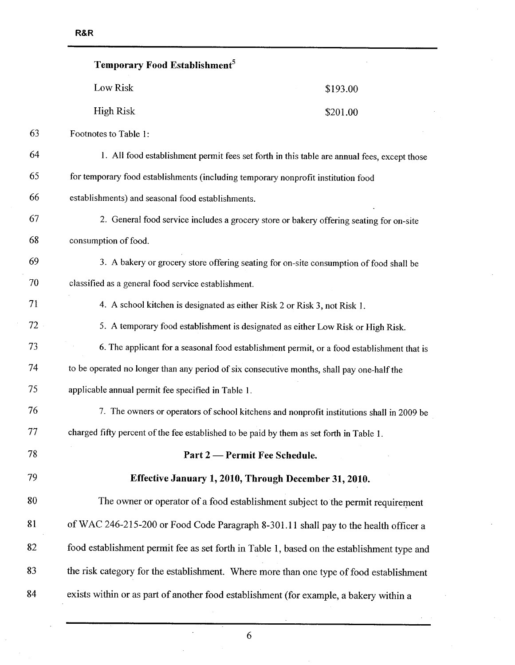|    | Temporary Food Establishment <sup>5</sup>           |                                                                                             |
|----|-----------------------------------------------------|---------------------------------------------------------------------------------------------|
|    | Low Risk                                            | \$193.00                                                                                    |
|    | <b>High Risk</b>                                    | \$201.00                                                                                    |
| 63 | Footnotes to Table 1:                               |                                                                                             |
| 64 |                                                     | 1. All food establishment permit fees set forth in this table are annual fees, except those |
| 65 |                                                     | for temporary food establishments (including temporary nonprofit institution food           |
| 66 | establishments) and seasonal food establishments.   |                                                                                             |
| 67 |                                                     | 2. General food service includes a grocery store or bakery offering seating for on-site     |
| 68 | consumption of food.                                |                                                                                             |
| 69 |                                                     | 3. A bakery or grocery store offering seating for on-site consumption of food shall be      |
| 70 | classified as a general food service establishment. |                                                                                             |
| 71 |                                                     | 4. A school kitchen is designated as either Risk 2 or Risk 3, not Risk 1.                   |
| 72 |                                                     | 5. A temporary food establishment is designated as either Low Risk or High Risk.            |
| 73 |                                                     | 6. The applicant for a seasonal food establishment permit, or a food establishment that is  |
| 74 |                                                     | to be operated no longer than any period of six consecutive months, shall pay one-half the  |
| 75 | applicable annual permit fee specified in Table 1.  |                                                                                             |
| 76 |                                                     | 7. The owners or operators of school kitchens and nonprofit institutions shall in 2009 be   |
| 77 |                                                     | charged fifty percent of the fee established to be paid by them as set forth in Table 1.    |
| 78 |                                                     | Part 2 — Permit Fee Schedule.                                                               |
| 79 |                                                     | Effective January 1, 2010, Through December 31, 2010.                                       |
| 80 |                                                     | The owner or operator of a food establishment subject to the permit requirement             |
| 81 |                                                     | of WAC 246-215-200 or Food Code Paragraph 8-301.11 shall pay to the health officer a        |
| 82 |                                                     | food establishment permit fee as set forth in Table 1, based on the establishment type and  |
| 83 |                                                     | the risk category for the establishment. Where more than one type of food establishment     |
| 84 |                                                     | exists within or as part of another food establishment (for example, a bakery within a      |

l,

 $\lambda$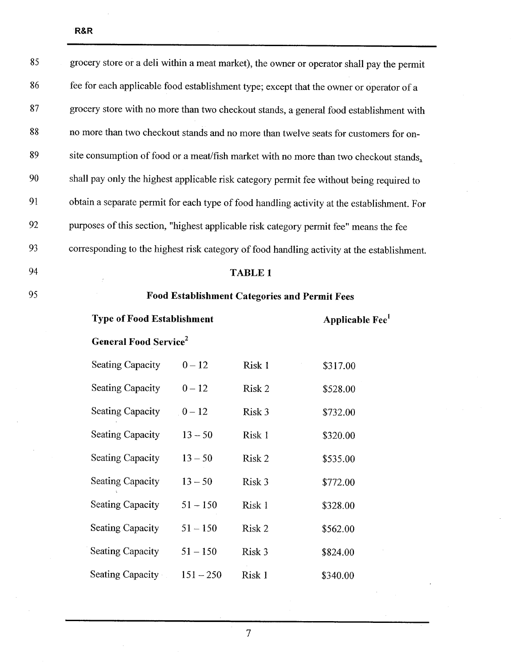| 85 | grocery store or a deli within a meat market), the owner or operator shall pay the permit  |
|----|--------------------------------------------------------------------------------------------|
| 86 | fee for each applicable food establishment type; except that the owner or operator of a    |
| 87 | grocery store with no more than two checkout stands, a general food establishment with     |
| 88 | no more than two checkout stands and no more than twelve seats for customers for on-       |
| 89 | site consumption of food or a meat/fish market with no more than two checkout stands,      |
| 90 | shall pay only the highest applicable risk category permit fee without being required to   |
| 91 | obtain a separate permit for each type of food handling activity at the establishment. For |
| 92 | purposes of this section, "highest applicable risk category permit fee" means the fee      |
| 93 | corresponding to the highest risk category of food handling activity at the establishment. |
| 94 | <b>TABLE 1</b>                                                                             |

| 95 | <b>Food Establishment Categories and Permit Fees</b> |
|----|------------------------------------------------------|
|----|------------------------------------------------------|

Type of Food Establishment  $\qquad \qquad$  Applicable Fee $^1$ 

General Food Service<sup>2</sup>

| <b>Seating Capacity</b> | $0 - 12$    | Risk 1 | \$317.00 |
|-------------------------|-------------|--------|----------|
| <b>Seating Capacity</b> | $0 - 12$    | Risk 2 | \$528.00 |
| <b>Seating Capacity</b> | $0 - 12$    | Risk 3 | \$732.00 |
| <b>Seating Capacity</b> | $13 - 50$   | Risk 1 | \$320.00 |
| <b>Seating Capacity</b> | $13 - 50$   | Risk 2 | \$535.00 |
| Seating Capacity        | $13 - 50$   | Risk 3 | \$772.00 |
| <b>Seating Capacity</b> | $51 - 150$  | Risk 1 | \$328.00 |
| <b>Seating Capacity</b> | $51 - 150$  | Risk 2 | \$562.00 |
| <b>Seating Capacity</b> | $51 - 150$  | Risk 3 | \$824.00 |
| Seating Capacity        | $151 - 250$ | Risk 1 | \$340.00 |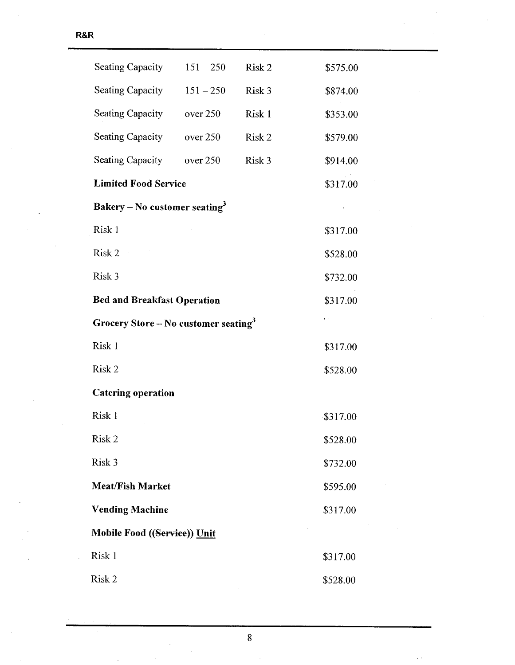| Seating Capacity                                 | $151 - 250$ | Risk 2 | \$575.00     |
|--------------------------------------------------|-------------|--------|--------------|
| <b>Seating Capacity</b>                          | $151 - 250$ | Risk 3 | \$874.00     |
| Seating Capacity                                 | over 250    | Risk 1 | \$353.00     |
| <b>Seating Capacity</b>                          | over 250    | Risk 2 | \$579.00     |
| <b>Seating Capacity</b>                          | over 250    | Risk 3 | \$914.00     |
| <b>Limited Food Service</b>                      |             |        | \$317.00     |
| Bakery – No customer seating <sup>3</sup>        |             |        | $\epsilon$   |
| Risk 1                                           |             |        | \$317.00     |
| Risk 2                                           |             |        | \$528.00     |
| Risk 3                                           |             |        | \$732.00     |
| <b>Bed and Breakfast Operation</b>               |             |        | \$317.00     |
| Grocery Store – No customer seating <sup>3</sup> |             |        | $\epsilon$ . |
| Risk 1                                           |             |        | \$317.00     |
| Risk 2                                           |             |        | \$528.00     |
| <b>Catering operation</b>                        |             |        |              |
| Risk 1                                           |             |        | \$317.00     |
| Risk 2                                           |             |        | \$528.00     |
| Risk 3                                           |             |        | \$732.00     |
| <b>Meat/Fish Market</b>                          |             |        | \$595.00     |
| <b>Vending Machine</b>                           |             |        | \$317.00     |
| Mobile Food ((Service)) Unit                     |             |        |              |
| Risk 1                                           |             |        | \$317.00     |
| Risk 2                                           |             |        | \$528.00     |

 $\bar{z}$  .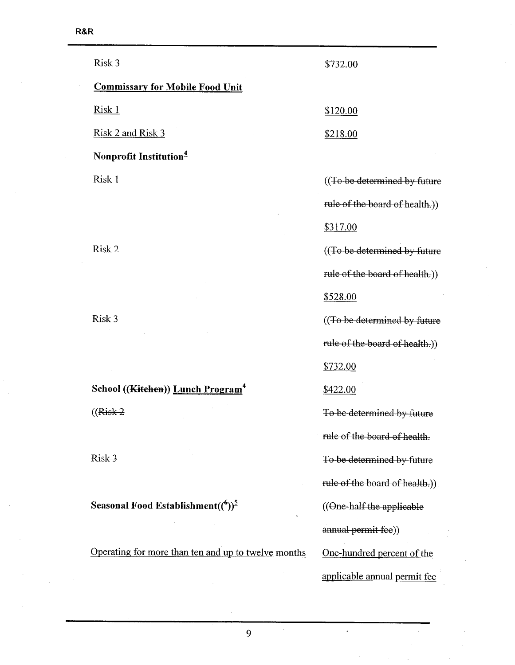| Risk 3                                              | \$732.00                                    |
|-----------------------------------------------------|---------------------------------------------|
| <b>Commissary for Mobile Food Unit</b>              |                                             |
| <u>Risk 1</u>                                       | \$120.00                                    |
| Risk 2 and Risk 3                                   | \$218.00                                    |
| Nonprofit Institution <sup>4</sup>                  |                                             |
| Risk 1                                              | ((To be determined by future)               |
|                                                     | rule of the board of health.))              |
|                                                     | \$317.00                                    |
| Risk 2                                              | ((To be determined by future                |
|                                                     | rule of the board of health.))              |
|                                                     | <u>\$528.00</u>                             |
| Risk 3                                              | ((To be determined by future                |
|                                                     | rule of the board of health.))              |
|                                                     | \$732.00                                    |
| School ((Kitchen)) Lunch Program <sup>4</sup>       | \$422.00                                    |
| $((Risk-2)$                                         | To be determined by future                  |
|                                                     | rule of the board of health.                |
| Risk 3                                              | To be determined by future                  |
|                                                     | rule of the board of health.)).             |
| Seasonal Food Establishment( $\binom{6}{2}^5$       | $((\Theta_{\text{ne-half-the applicable}})$ |
|                                                     | annual permit fee))                         |
| Operating for more than ten and up to twelve months | One-hundred percent of the                  |
|                                                     | applicable annual permit fee                |

 $\bar{z}$ 

 $\ddot{\phantom{a}}$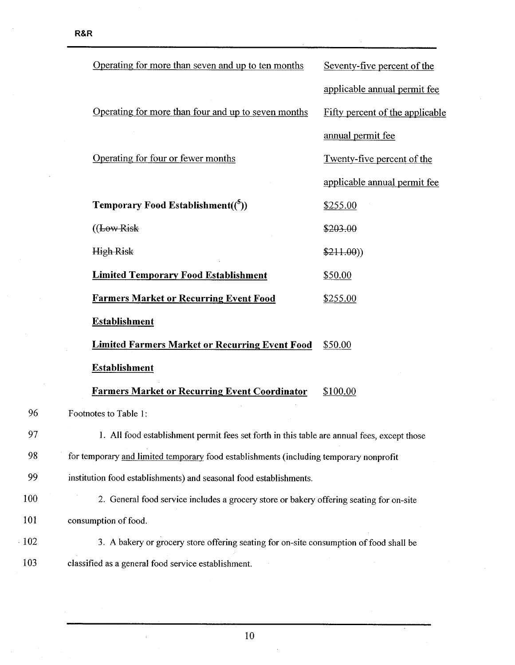|        | Operating for more than seven and up to ten months                                          | Seventy-five percent of the     |
|--------|---------------------------------------------------------------------------------------------|---------------------------------|
|        |                                                                                             | applicable annual permit fee    |
|        | Operating for more than four and up to seven months                                         | Fifty percent of the applicable |
|        |                                                                                             | annual permit fee               |
|        | Operating for four or fewer months                                                          | Twenty-five percent of the      |
|        |                                                                                             | applicable annual permit fee    |
|        | <b>Temporary Food Establishment((5))</b>                                                    | \$255.00                        |
|        | ((LowRisk)                                                                                  | \$203.00                        |
|        | <b>High Risk</b>                                                                            | \$211.00)                       |
|        | <b>Limited Temporary Food Establishment</b>                                                 | \$50.00                         |
|        | <b>Farmers Market or Recurring Event Food</b>                                               | \$255.00                        |
|        | <b>Establishment</b>                                                                        |                                 |
|        | <b>Limited Farmers Market or Recurring Event Food</b>                                       | \$50.00                         |
|        | <b>Establishment</b>                                                                        |                                 |
|        | <b>Farmers Market or Recurring Event Coordinator</b>                                        | \$100.00                        |
| 96     | Footnotes to Table 1:                                                                       |                                 |
| 97     | 1. All food establishment permit fees set forth in this table are annual fees, except those |                                 |
| 98     | for temporary and limited temporary food establishments (including temporary nonprofit      |                                 |
| 99     | institution food establishments) and seasonal food establishments.                          |                                 |
| 100    | 2. General food service includes a grocery store or bakery offering seating for on-site     |                                 |
| 101    | consumption of food.                                                                        |                                 |
| $-102$ | 3. A bakery or grocery store offering seating for on-site consumption of food shall be      |                                 |
| 103    | classified as a general food service establishment.                                         |                                 |

 $\hat{\boldsymbol{\beta}}$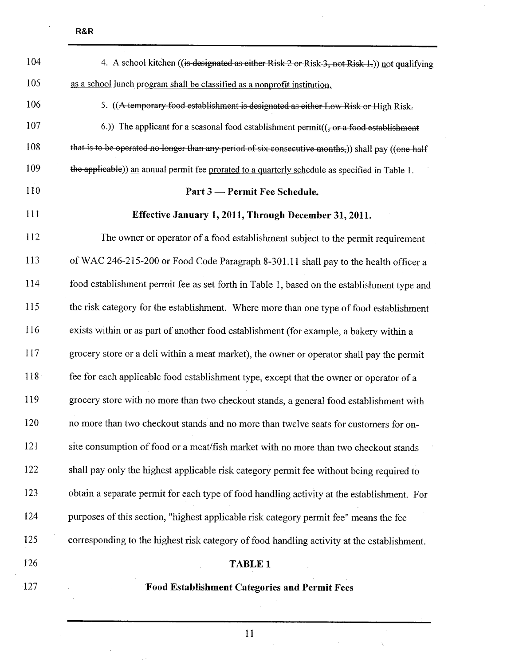$\bar{z}$ 

| 104        | 4. A school kitchen ((is designated as either Risk 2 or Risk 3, not Risk 1.)) not qualifying       |
|------------|----------------------------------------------------------------------------------------------------|
| 105        | as a school lunch program shall be classified as a nonprofit institution.                          |
| 106        | 5. ((A temporary food establishment is designated as either Low Risk or High Risk.                 |
| 107        | $(6)$ ) The applicant for a seasonal food establishment permit( $(-$ or a food establishment       |
| 108        | that is to be operated no longer than any period of six consecutive months,)) shall pay ((one-half |
| 109        | the applicable)) an annual permit fee prorated to a quarterly schedule as specified in Table 1.    |
| 110        | Part 3 — Permit Fee Schedule.                                                                      |
| 111        | Effective January 1, 2011, Through December 31, 2011.                                              |
| 112        | The owner or operator of a food establishment subject to the permit requirement                    |
| 113        | of WAC 246-215-200 or Food Code Paragraph 8-301.11 shall pay to the health officer a               |
| 114        | food establishment permit fee as set forth in Table 1, based on the establishment type and         |
| 115        | the risk category for the establishment. Where more than one type of food establishment            |
| 116        | exists within or as part of another food establishment (for example, a bakery within a             |
| 117        | grocery store or a deli within a meat market), the owner or operator shall pay the permit          |
| 118        | fee for each applicable food establishment type, except that the owner or operator of a            |
| 119        | grocery store with no more than two checkout stands, a general food establishment with             |
| <b>120</b> | no more than two checkout stands and no more than twelve seats for customers for on-               |
| 121        | site consumption of food or a meat/fish market with no more than two checkout stands               |
| 122        | shall pay only the highest applicable risk category permit fee without being required to           |
| 123        | obtain a separate permit for each type of food handling activity at the establishment. For         |
| 124        | purposes of this section, "highest applicable risk category permit fee" means the fee              |
| 125        | corresponding to the highest risk category of food handling activity at the establishment.         |
| 126        | <b>TABLE 1</b>                                                                                     |
| 127        | <b>Food Establishment Categories and Permit Fees</b>                                               |

11

 $\bar{\beta}$ 

 $\bar{\beta}$ 

 $\bar{\chi}$ 

i,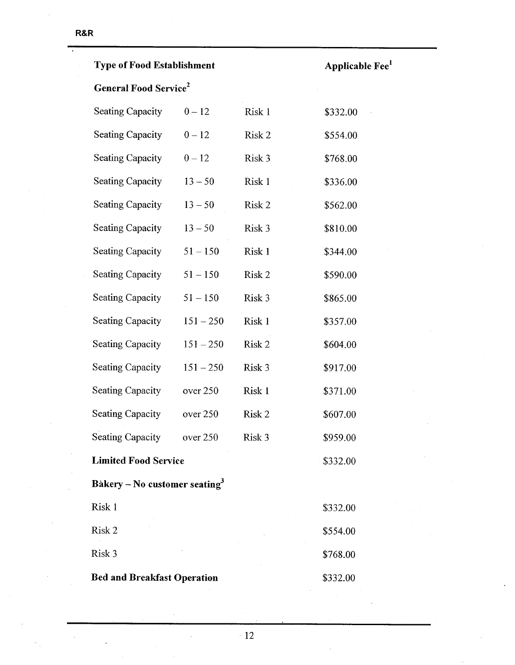| <b>Type of Food Establishment</b>         |             |        | Applicable Fee <sup>1</sup> |  |
|-------------------------------------------|-------------|--------|-----------------------------|--|
| <b>General Food Service</b> <sup>2</sup>  |             |        |                             |  |
| <b>Seating Capacity</b>                   | $0 - 12$    | Risk 1 | \$332.00                    |  |
| <b>Seating Capacity</b>                   | $0 - 12$    | Risk 2 | \$554.00                    |  |
| <b>Seating Capacity</b>                   | $0 - 12$    | Risk 3 | \$768.00                    |  |
| <b>Seating Capacity</b>                   | $13 - 50$   | Risk 1 | \$336.00                    |  |
| <b>Seating Capacity</b>                   | $13 - 50$   | Risk 2 | \$562.00                    |  |
| <b>Seating Capacity</b>                   | $13 - 50$   | Risk 3 | \$810.00                    |  |
| <b>Seating Capacity</b>                   | $51 - 150$  | Risk 1 | \$344.00                    |  |
| <b>Seating Capacity</b>                   | $51 - 150$  | Risk 2 | \$590.00                    |  |
| <b>Seating Capacity</b>                   | $51 - 150$  | Risk 3 | \$865.00                    |  |
| <b>Seating Capacity</b>                   | $151 - 250$ | Risk 1 | \$357.00                    |  |
| <b>Seating Capacity</b>                   | $151 - 250$ | Risk 2 | \$604.00                    |  |
| <b>Seating Capacity</b>                   | $151 - 250$ | Risk 3 | \$917.00                    |  |
| <b>Seating Capacity</b>                   | over 250    | Risk 1 | \$371.00                    |  |
| <b>Seating Capacity</b>                   | over 250    | Risk 2 | \$607.00                    |  |
| <b>Seating Capacity</b>                   | over 250    | Risk 3 | \$959.00                    |  |
| <b>Limited Food Service</b>               |             |        | \$332.00                    |  |
| Bakery – No customer seating <sup>3</sup> |             |        |                             |  |
| Risk 1                                    |             |        | \$332.00                    |  |
| Risk 2                                    |             |        | \$554.00                    |  |
| Risk 3                                    |             |        | \$768.00                    |  |
| <b>Bed and Breakfast Operation</b>        |             |        | \$332.00                    |  |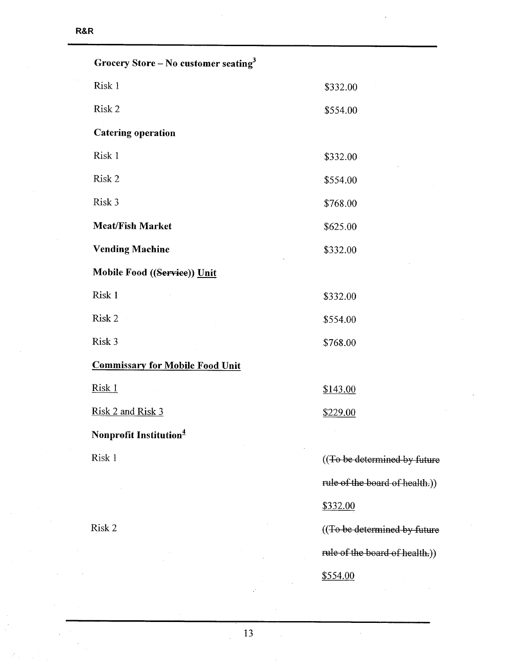| Grocery Store – No customer seating <sup>3</sup> |                                |
|--------------------------------------------------|--------------------------------|
| Risk 1                                           | \$332.00                       |
| Risk 2                                           | \$554.00                       |
| <b>Catering operation</b>                        |                                |
| Risk 1                                           | \$332.00                       |
| Risk 2                                           | \$554.00                       |
| Risk 3                                           | \$768.00                       |
| <b>Meat/Fish Market</b>                          | \$625.00                       |
| <b>Vending Machine</b>                           | \$332.00                       |
| Mobile Food ((Service)) Unit                     |                                |
| Risk 1                                           | \$332.00                       |
| Risk 2                                           | \$554.00                       |
| Risk 3                                           | \$768.00                       |
| <b>Commissary for Mobile Food Unit</b>           |                                |
| Risk 1                                           | \$143.00                       |
| Risk 2 and Risk 3                                | \$229.00                       |
| Nonprofit Institution <sup>4</sup>               |                                |
| Risk 1                                           | ((To be determined by future   |
|                                                  | rule of the board of health.)) |
|                                                  | \$332.00                       |
| Risk 2                                           | ((To be determined by future   |
|                                                  | rule of the board of health.)) |
|                                                  | \$554.00                       |

 $\mathcal{L}$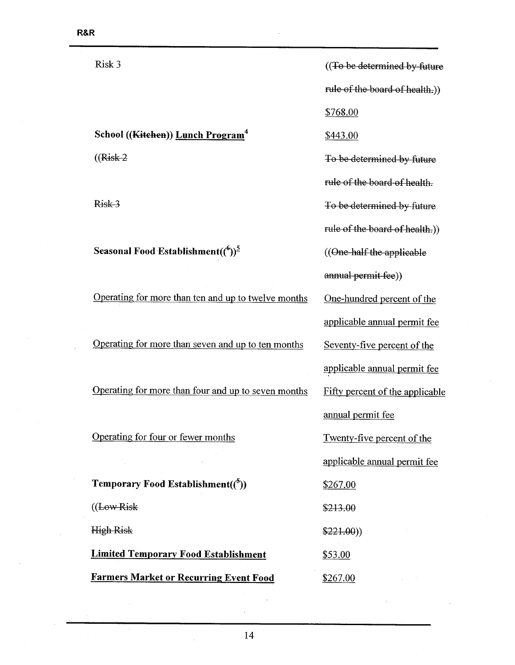Risk 3

School ((Kitchen)) Lunch Program<sup>4</sup>

 $((Risk-2)$ 

Risk-3

Seasonal Food Establishment( $({}^{6})^{\frac{5}{}}$ 

Operating for more than ten and up to twelve months

Operating for more than seven and up to ten months

Operating for more than four and up to seven months

Operating for four or fewer months

Temporary Food Establishment( $({}^{5})$ )  $((LowRisk)$ High Risk Limited Temporary Food Establishment

Farmers Market or Recurring Event Food

((To be determined by future rule of the board of health.)) \$768.00 \$443.00 To be determined by future rule of the board of health. To be determined by future rule of the board of health.)) ((One half the applicable annual permit fee)) One-hundred percent of the applicable annual permit fee Seventy-five percent of the applicable annual permit fee Fifty percent of the applicable anual permit fee Twenty-five percent of the applicable annual permit fee \$267.00 \$213.00 \$221.00)) \$53.00 \$267.00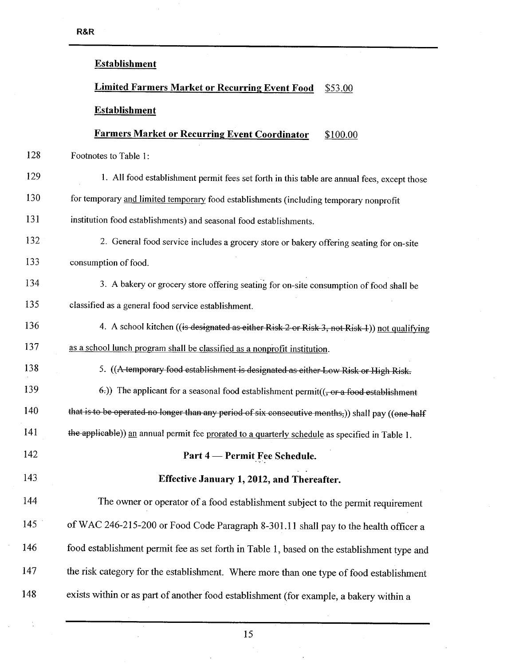# Establishment Limited Farmers Market or Recurring Event Food \$53.00 Establishment Farmers Market or Recurring Event Coordinator \$100.00 128 Footnotes to Table I: 129 1. All food establishment permit fees set forth in this table are annual fees, except those 130 for temporary and limited temporary food establishments (including temporary nonprofit 131 institution food establishments) and seasonal food establishments. 132 2. General food service includes a grocery store or bakery offering seating for on-site 133 consumption of food. 134 3. A bakery or grocery store offering seating for on-site consumption of food shall be 135 classified as a general food service establishment. 136 4. A school kitchen ((is designated as either Risk 2 or Risk 3, not Risk 1)) not qualifying 137 as a school lunch program shall be classified as a nonprofit institution. 138 5. ((A temporary food establishment is designated as either Low Risk or High Risk. 139  $\left(-6\right)$ ) The applicant for a seasonal food establishment permit((, or a food establishment 140 that is to be operated no longer than any period of six consecutive months,)) shall pay ((one half 141 the applicable)) an annual permit fee prorated to a quarterly schedule as specified in Table 1. 142 **Part 4 – Permit Fee Schedule.** 143 Effective January 1,2012, and Thereafter. 144 The owner or operator of a food establishment subject to the permit requirement 145 of WAC 246-215-200 or Food Code Paragraph 8-301.11 shall pay to the health officer a 146 food establishment permit fee as set forth in Table 1, based on the establishment type and 147 the risk category for the establishment. Where more than one type of food establishment 148 exists within or as part of another food establishment (for example, a bakery within a

15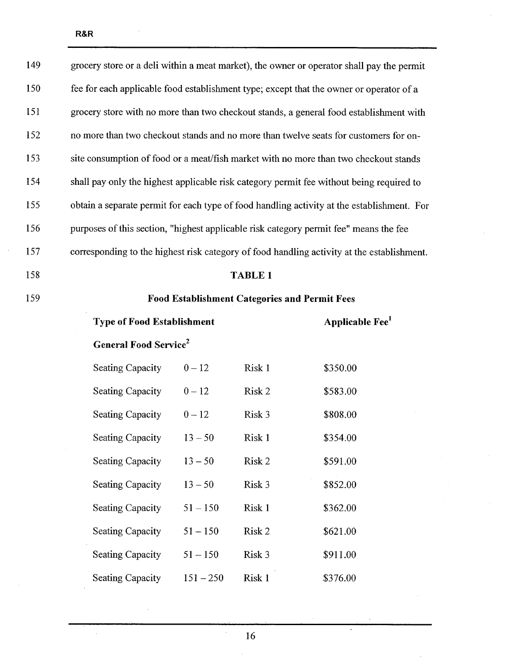| 158 | <b>TABLE 1</b>                                                                             |
|-----|--------------------------------------------------------------------------------------------|
| 157 | corresponding to the highest risk category of food handling activity at the establishment. |
| 156 | purposes of this section, "highest applicable risk category permit fee" means the fee      |
| 155 | obtain a separate permit for each type of food handling activity at the establishment. For |
| 154 | shall pay only the highest applicable risk category permit fee without being required to   |
| 153 | site consumption of food or a meat/fish market with no more than two checkout stands       |
| 152 | no more than two checkout stands and no more than twelve seats for customers for on-       |
| 151 | grocery store with no more than two checkout stands, a general food establishment with     |
| 150 | fee for each applicable food establishment type; except that the owner or operator of a    |
| 149 | grocery store or a deli within a meat market), the owner or operator shall pay the permit  |

## 159 Food Establishment Categories and Permit Fees

| <b>Type of Food Establishment</b> |  |  |  |
|-----------------------------------|--|--|--|
|-----------------------------------|--|--|--|

# Applicable  $\text{Fe}^1$

 $\hat{\mathbf{a}}$ 

## General Food Service<sup>2</sup>

 $\bar{\mathcal{A}}$ 

| <b>Seating Capacity</b> | $0 - 12$    | Risk 1 | \$350.00 |
|-------------------------|-------------|--------|----------|
| <b>Seating Capacity</b> | $0 - 12$    | Risk 2 | \$583.00 |
| <b>Seating Capacity</b> | $0 - 12$    | Risk 3 | \$808.00 |
| <b>Seating Capacity</b> | $13 - 50$   | Risk 1 | \$354.00 |
| <b>Seating Capacity</b> | $13 - 50$   | Risk 2 | \$591.00 |
| <b>Seating Capacity</b> | $13 - 50$   | Risk 3 | \$852.00 |
| <b>Seating Capacity</b> | $51 - 150$  | Risk 1 | \$362.00 |
| <b>Seating Capacity</b> | $51 - 150$  | Risk 2 | \$621.00 |
| <b>Seating Capacity</b> | $51 - 150$  | Risk 3 | \$911.00 |
| <b>Seating Capacity</b> | $151 - 250$ | Risk 1 | \$376.00 |

 $\hat{\mathcal{A}}$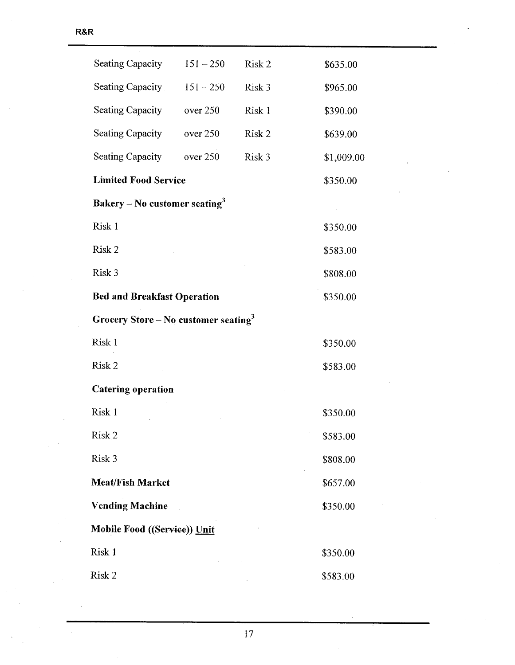| <b>Seating Capacity</b>                          | $151 - 250$ | Risk 2 | \$635.00   |
|--------------------------------------------------|-------------|--------|------------|
| Seating Capacity                                 | $151 - 250$ | Risk 3 | \$965.00   |
| <b>Seating Capacity</b>                          | over 250    | Risk 1 | \$390.00   |
| <b>Seating Capacity</b>                          | over 250    | Risk 2 | \$639.00   |
| <b>Seating Capacity</b>                          | over 250    | Risk 3 | \$1,009.00 |
| <b>Limited Food Service</b>                      |             |        | \$350.00   |
| Bakery – No customer seating <sup>3</sup>        |             |        |            |
| Risk 1                                           |             |        | \$350.00   |
| Risk 2                                           |             |        | \$583.00   |
| Risk 3                                           |             |        | \$808.00   |
| <b>Bed and Breakfast Operation</b>               |             |        | \$350.00   |
| Grocery Store – No customer seating <sup>3</sup> |             |        |            |
| Risk 1                                           |             |        | \$350.00   |
| Risk 2                                           |             |        | \$583.00   |
| <b>Catering operation</b>                        |             |        |            |
| Risk 1                                           |             |        | \$350.00   |
| Risk <sub>2</sub>                                |             |        | \$583.00   |
| Risk 3                                           |             |        | \$808.00   |
| <b>Meat/Fish Market</b>                          |             |        | \$657.00   |
| <b>Vending Machine</b>                           |             |        | \$350.00   |
| Mobile Food ((Service)) Unit                     |             |        |            |
| Risk 1                                           |             |        | \$350.00   |
| Risk 2                                           |             |        | \$583.00   |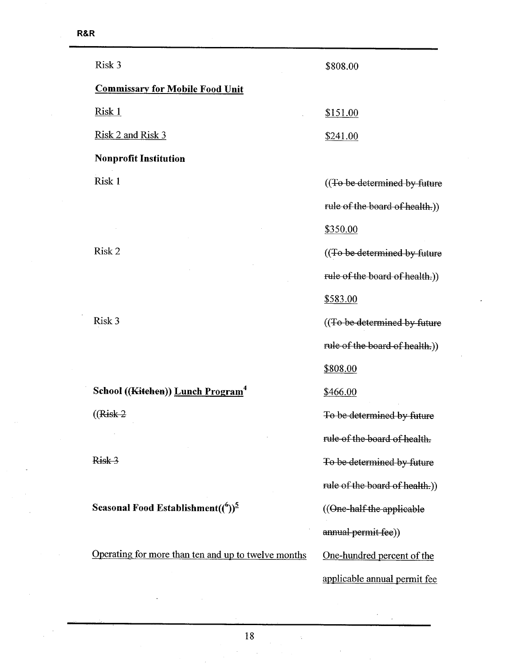| Risk 3                                                 | \$808.00                       |
|--------------------------------------------------------|--------------------------------|
| <b>Commissary for Mobile Food Unit</b>                 |                                |
| <u>Risk 1</u>                                          | \$151.00                       |
| <u>Risk 2 and Risk 3</u>                               | \$241.00                       |
| <b>Nonprofit Institution</b>                           |                                |
| Risk 1                                                 | ((To be determined by future   |
|                                                        | rule of the board of health.)  |
|                                                        | \$350.00                       |
| Risk 2                                                 | ((To be determined by future   |
|                                                        | rule of the board of health.)) |
|                                                        | \$583.00                       |
| Risk 3                                                 | ((To be determined by future   |
|                                                        | rule of the board of health.)) |
|                                                        | \$808.00                       |
| School ((Kitchen)) Lunch Program <sup>4</sup>          | \$466.00                       |
| $((Risk-2)$                                            | To be determined by future     |
|                                                        | rule of the board of health.   |
| Risk 3                                                 | To be determined by future     |
|                                                        | rule of the board of health.)) |
| Seasonal Food Establishment( ${^{(6)}}$ ) <sup>5</sup> | ((One-half the applicable      |
|                                                        | annual permit fee))            |
| Operating for more than ten and up to twelve months    | One-hundred percent of the     |
|                                                        | applicable annual permit fee   |
|                                                        |                                |

 $\frac{1}{2}$ 

 $\ddot{\phantom{a}}$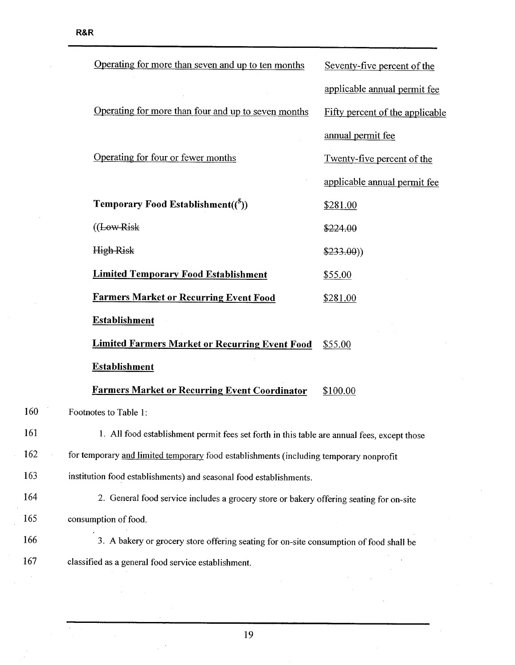$\hat{\mathcal{I}}$ 

 $\hat{\mathcal{L}}$ 

|     | Operating for more than seven and up to ten months                                          | Seventy-five percent of the     |
|-----|---------------------------------------------------------------------------------------------|---------------------------------|
|     |                                                                                             | applicable annual permit fee    |
|     | Operating for more than four and up to seven months                                         | Fifty percent of the applicable |
|     |                                                                                             | annual permit fee               |
|     | Operating for four or fewer months                                                          | Twenty-five percent of the      |
|     |                                                                                             | applicable annual permit fee    |
|     | <b>Temporary Food Establishment(<math>\binom{5}{2}</math>)</b>                              | \$281.00                        |
|     | $((Low-Risk)$                                                                               | \$224.00                        |
|     | <b>High Risk</b>                                                                            | \$233.00)                       |
|     | <b>Limited Temporary Food Establishment</b>                                                 | \$55.00                         |
|     | <b>Farmers Market or Recurring Event Food</b>                                               | \$281.00                        |
|     | <b>Establishment</b>                                                                        |                                 |
|     | <b>Limited Farmers Market or Recurring Event Food</b>                                       | \$55.00                         |
|     | <b>Establishment</b>                                                                        |                                 |
|     | <b>Farmers Market or Recurring Event Coordinator</b>                                        | \$100.00                        |
| 160 | Footnotes to Table 1:                                                                       |                                 |
| 161 | 1. All food establishment permit fees set forth in this table are annual fees, except those |                                 |
| 162 | for temporary and limited temporary food establishments (including temporary nonprofit      |                                 |
| 163 | institution food establishments) and seasonal food establishments.                          |                                 |
| 164 | 2. General food service includes a grocery store or bakery offering seating for on-site     |                                 |
| 165 | consumption of food.                                                                        |                                 |
| 166 | 3. A bakery or grocery store offering seating for on-site consumption of food shall be      |                                 |
| 167 | classified as a general food service establishment.                                         |                                 |

 $\overline{\phantom{a}}$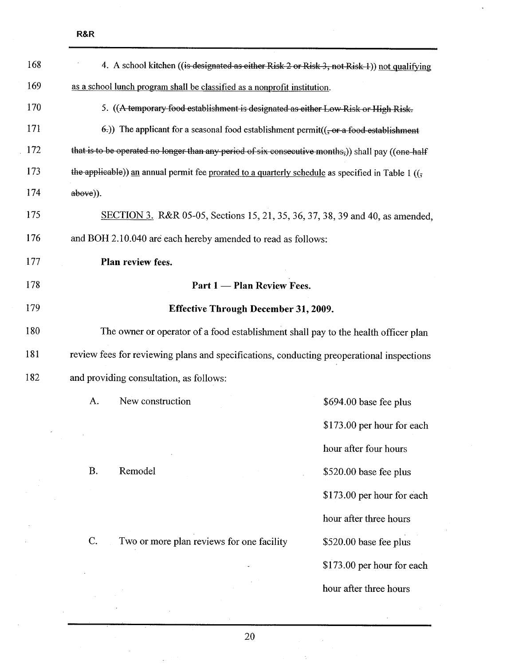|                                                                           | 4. A school kitchen ((is designated as either Risk 2 or Risk 3, not Risk 1)) not qualifying                  |                                             |                            |
|---------------------------------------------------------------------------|--------------------------------------------------------------------------------------------------------------|---------------------------------------------|----------------------------|
| as a school lunch program shall be classified as a nonprofit institution. |                                                                                                              |                                             |                            |
|                                                                           | 5. ((A temporary food establishment is designated as either Low Risk or High Risk.                           |                                             |                            |
|                                                                           | $(\epsilon)$ ) The applicant for a seasonal food establishment permit( $(\epsilon)$ -or a food-establishment |                                             |                            |
|                                                                           | that is to be operated no longer than any period of six consecutive months,)) shall pay ((one-half           |                                             |                            |
|                                                                           | the applicable)) an annual permit fee prorated to a quarterly schedule as specified in Table 1 ( $(5)$       |                                             |                            |
| above)).                                                                  |                                                                                                              |                                             |                            |
|                                                                           | SECTION 3. R&R 05-05, Sections 15, 21, 35, 36, 37, 38, 39 and 40, as amended,                                |                                             |                            |
|                                                                           | and BOH 2.10.040 are each hereby amended to read as follows:                                                 |                                             |                            |
|                                                                           | Plan review fees.                                                                                            |                                             |                            |
|                                                                           |                                                                                                              | Part 1 - Plan Review Fees.                  |                            |
|                                                                           |                                                                                                              | <b>Effective Through December 31, 2009.</b> |                            |
|                                                                           | The owner or operator of a food establishment shall pay to the health officer plan                           |                                             |                            |
|                                                                           | review fees for reviewing plans and specifications, conducting preoperational inspections                    |                                             |                            |
|                                                                           | and providing consultation, as follows:                                                                      |                                             |                            |
| A.                                                                        | New construction                                                                                             |                                             | \$694.00 base fee plus     |
|                                                                           |                                                                                                              |                                             | \$173.00 per hour for each |
|                                                                           |                                                                                                              |                                             | hour after four hours      |
|                                                                           |                                                                                                              |                                             |                            |
| B.                                                                        | Remodel                                                                                                      |                                             | \$520.00 base fee plus     |
|                                                                           |                                                                                                              |                                             | \$173.00 per hour for each |
|                                                                           |                                                                                                              |                                             | hour after three hours     |
| C.                                                                        | Two or more plan reviews for one facility                                                                    |                                             | \$520.00 base fee plus     |
|                                                                           |                                                                                                              |                                             | \$173.00 per hour for each |
|                                                                           |                                                                                                              |                                             | hour after three hours     |
|                                                                           |                                                                                                              |                                             |                            |

20

 $\omega$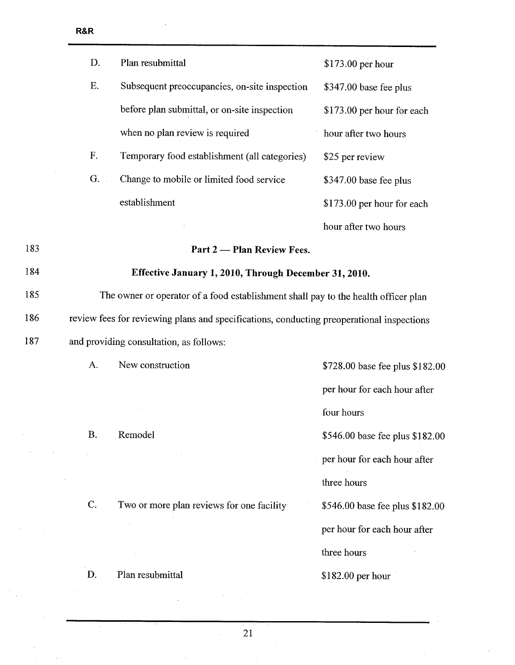$\bar{\mathbf{v}}$ 

| D.        | Plan resubmittal                                                                          | \$173.00 per hour               |
|-----------|-------------------------------------------------------------------------------------------|---------------------------------|
| E.        | Subsequent preoccupancies, on-site inspection                                             | \$347.00 base fee plus          |
|           | before plan submittal, or on-site inspection                                              | \$173.00 per hour for each      |
|           | when no plan review is required                                                           | hour after two hours            |
| F.        | Temporary food establishment (all categories)                                             | \$25 per review                 |
| G.        | Change to mobile or limited food service                                                  | \$347.00 base fee plus          |
|           | establishment                                                                             | \$173.00 per hour for each      |
|           |                                                                                           | hour after two hours            |
|           | Part 2 — Plan Review Fees.                                                                |                                 |
|           | Effective January 1, 2010, Through December 31, 2010.                                     |                                 |
|           | The owner or operator of a food establishment shall pay to the health officer plan        |                                 |
|           | review fees for reviewing plans and specifications, conducting preoperational inspections |                                 |
|           | and providing consultation, as follows:                                                   |                                 |
| A.        | New construction                                                                          | \$728.00 base fee plus \$182.00 |
|           |                                                                                           | per hour for each hour after    |
|           |                                                                                           | four hours                      |
| <b>B.</b> | Remodel                                                                                   | \$546.00 base fee plus \$182.00 |
|           |                                                                                           | per hour for each hour after    |
|           |                                                                                           | three hours                     |
| C.        | Two or more plan reviews for one facility                                                 | \$546.00 base fee plus \$182.00 |
|           |                                                                                           | per hour for each hour after    |
|           |                                                                                           | three hours                     |
| D.        | Plan resubmittal                                                                          | \$182.00 per hour               |

21

l.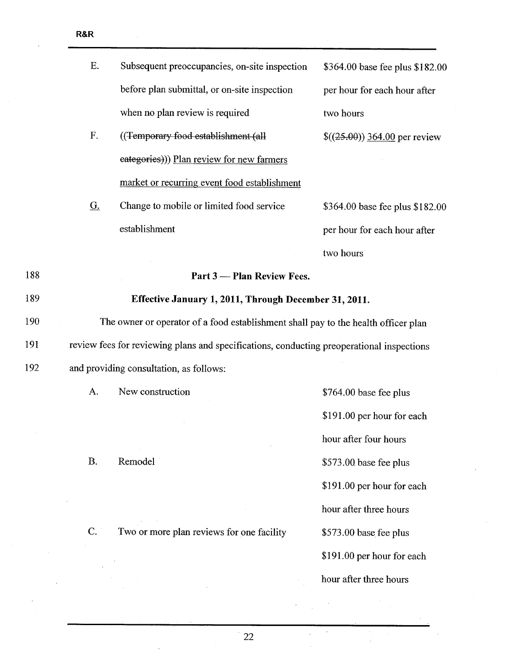|     | E.                | Subsequent preoccupancies, on-site inspection                                             | \$364.00 base fee plus \$182.00 |
|-----|-------------------|-------------------------------------------------------------------------------------------|---------------------------------|
|     |                   | before plan submittal, or on-site inspection                                              | per hour for each hour after    |
|     |                   | when no plan review is required                                                           | two hours                       |
|     | F.                | ((Temporary food establishment (all                                                       | $$(25.00)$ 364.00 per review    |
|     |                   | eategories))) Plan review for new farmers                                                 |                                 |
|     |                   | market or recurring event food establishment                                              |                                 |
|     | $\underline{G}$ . | Change to mobile or limited food service                                                  | \$364.00 base fee plus \$182.00 |
|     |                   | establishment                                                                             | per hour for each hour after    |
|     |                   |                                                                                           | two hours                       |
| 188 |                   | Part 3 - Plan Review Fees.                                                                |                                 |
| 189 |                   | Effective January 1, 2011, Through December 31, 2011.                                     |                                 |
| 190 |                   | The owner or operator of a food establishment shall pay to the health officer plan        |                                 |
| 191 |                   | review fees for reviewing plans and specifications, conducting preoperational inspections |                                 |
| 192 |                   | and providing consultation, as follows:                                                   |                                 |
|     | A.                | New construction                                                                          | \$764.00 base fee plus          |
|     |                   |                                                                                           | \$191.00 per hour for each      |
|     |                   |                                                                                           | hour after four hours           |
|     | <b>B.</b>         | Remodel                                                                                   | \$573.00 base fee plus          |
|     |                   |                                                                                           | \$191.00 per hour for each      |
|     |                   |                                                                                           | hour after three hours          |
|     | C.                | Two or more plan reviews for one facility                                                 | \$573.00 base fee plus          |
|     |                   |                                                                                           | \$191.00 per hour for each      |
|     |                   |                                                                                           | hour after three hours          |

 $\ddot{\phantom{0}}$  $\hat{\mathcal{L}}$ 

 $\gamma$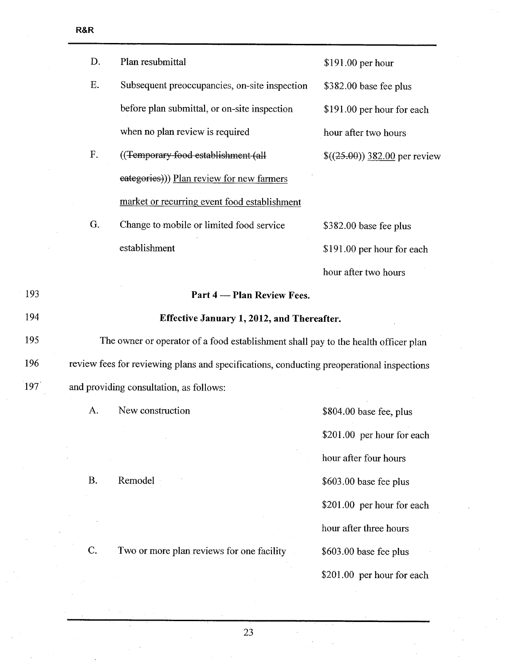| D.          | Plan resubmittal                                                                          | \$191.00 per hour            |
|-------------|-------------------------------------------------------------------------------------------|------------------------------|
| E.          | Subsequent preoccupancies, on-site inspection                                             | \$382.00 base fee plus       |
|             | before plan submittal, or on-site inspection                                              | \$191.00 per hour for each   |
|             | when no plan review is required                                                           | hour after two hours         |
| $F_{\star}$ | ((Temporary food establishment (all                                                       | $$(25.00)$ 382.00 per review |
|             | eategories))) Plan review for new farmers                                                 |                              |
|             | market or recurring event food establishment                                              |                              |
| G.          | Change to mobile or limited food service                                                  | \$382.00 base fee plus       |
|             | establishment                                                                             | \$191.00 per hour for each   |
|             |                                                                                           | hour after two hours         |
|             | Part 4 - Plan Review Fees.                                                                |                              |
|             | <b>Effective January 1, 2012, and Thereafter.</b>                                         |                              |
|             | The owner or operator of a food establishment shall pay to the health officer plan        |                              |
|             | review fees for reviewing plans and specifications, conducting preoperational inspections |                              |
|             | and providing consultation, as follows:                                                   |                              |
| A.          | New construction                                                                          | $$804.00$ base fee, plus     |
|             |                                                                                           | \$201.00 per hour for each   |
|             |                                                                                           | hour after four hours        |
| Β.          | Remodel -                                                                                 | \$603.00 base fee plus       |

C.

Two or more plan reviews for one facility

23

\$201.00 per hour for each

\$201.00 per hour for each

hour after three hours

\$603.00 base fee plus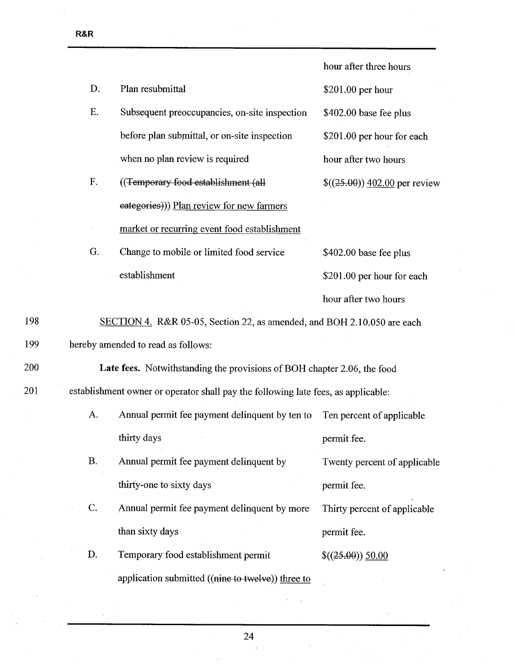|     |                |                                                                                   | hour after three hours       |
|-----|----------------|-----------------------------------------------------------------------------------|------------------------------|
|     | D.             | Plan resubmittal                                                                  | \$201.00 per hour            |
|     | E.             | Subsequent preoccupancies, on-site inspection                                     | \$402.00 base fee plus       |
|     |                | before plan submittal, or on-site inspection                                      | \$201.00 per hour for each   |
|     |                | when no plan review is required                                                   | hour after two hours         |
|     | F.             | ((Temporary food establishment (all                                               | $$(25.00)$ 402.00 per review |
|     |                | eategories))) Plan review for new farmers                                         |                              |
|     |                | market or recurring event food establishment                                      |                              |
|     | G.             | Change to mobile or limited food service                                          | \$402.00 base fee plus       |
|     |                | establishment                                                                     | \$201.00 per hour for each   |
|     |                |                                                                                   | hour after two hours         |
| 198 |                | SECTION 4. R&R 05-05, Section 22, as amended, and BOH 2.10.050 are each           |                              |
| 199 |                | hereby amended to read as follows:                                                |                              |
| 200 |                | Late fees. Notwithstanding the provisions of BOH chapter 2.06, the food           |                              |
| 201 |                | establishment owner or operator shall pay the following late fees, as applicable: |                              |
|     | А.             | Annual permit fee payment delinquent by ten to                                    | Ten percent of applicable    |
|     |                | thirty days                                                                       | permit fee.                  |
|     | <b>B.</b>      | Annual permit fee payment delinquent by                                           | Twenty percent of applicable |
|     |                | thirty-one to sixty days                                                          | permit fee.                  |
|     | $\mathbf{C}$ . | Annual permit fee payment delinquent by more                                      | Thirty percent of applicable |
|     |                | than sixty days                                                                   | permit fee.                  |
|     | D.             | Temporary food establishment permit                                               | $$(25.00) \underline{50.00}$ |
|     |                | application submitted ((nine to twelve)) three to                                 |                              |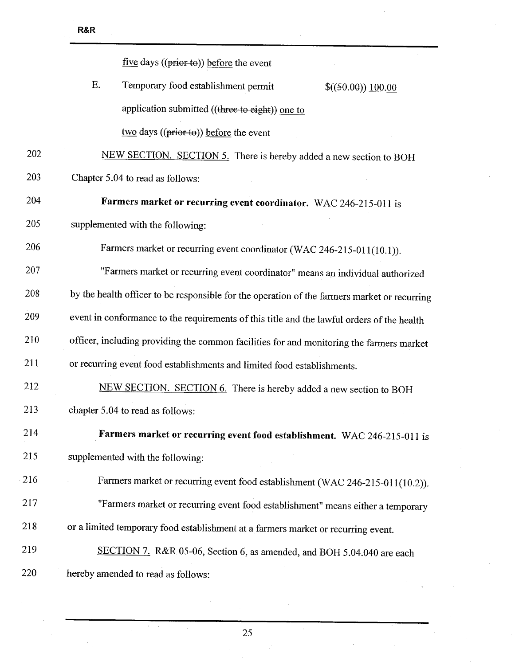|     | five days ((prior to)) before the event                                                      |
|-----|----------------------------------------------------------------------------------------------|
|     | Ε.<br>Temporary food establishment permit<br>\$((50.00)) 100.00                              |
|     | application submitted ((three to eight)) one to                                              |
|     | $\frac{two}{3}$ days ((prior to)) before the event                                           |
| 202 | NEW SECTION. SECTION 5. There is hereby added a new section to BOH                           |
| 203 | Chapter 5.04 to read as follows:                                                             |
| 204 | Farmers market or recurring event coordinator. WAC 246-215-011 is                            |
| 205 | supplemented with the following:                                                             |
| 206 | Farmers market or recurring event coordinator (WAC 246-215-011(10.1)).                       |
| 207 | "Farmers market or recurring event coordinator" means an individual authorized               |
| 208 | by the health officer to be responsible for the operation of the farmers market or recurring |
| 209 | event in conformance to the requirements of this title and the lawful orders of the health   |
| 210 | officer, including providing the common facilities for and monitoring the farmers market     |
| 211 | or recurring event food establishments and limited food establishments.                      |
| 212 | NEW SECTION. SECTION 6. There is hereby added a new section to BOH                           |
| 213 | chapter 5.04 to read as follows:                                                             |
| 214 | Farmers market or recurring event food establishment. WAC 246-215-011 is                     |
| 215 | supplemented with the following:                                                             |
| 216 | Farmers market or recurring event food establishment (WAC 246-215-011(10.2)).                |
| 217 | "Farmers market or recurring event food establishment" means either a temporary              |
| 218 | or a limited temporary food establishment at a farmers market or recurring event.            |
| 219 | SECTION 7. R&R 05-06, Section 6, as amended, and BOH 5.04.040 are each                       |
| 220 | hereby amended to read as follows:                                                           |
|     |                                                                                              |

25

 $\bar{z}$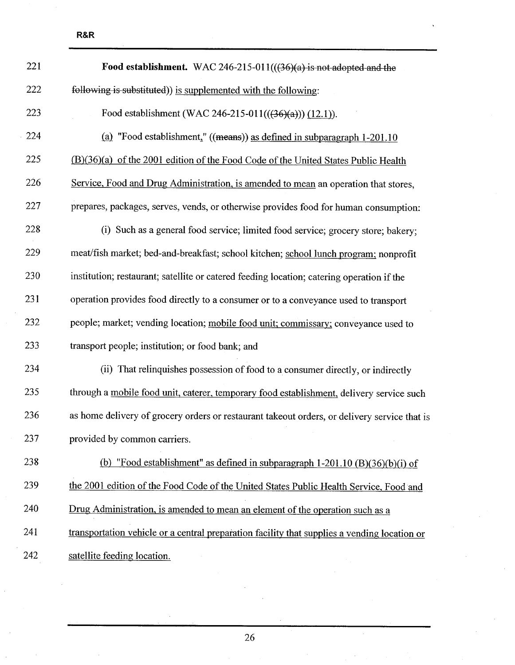| 221 | Food establishment. WAC 246-215-011( $((36)(a)$ is not adopted and the                       |
|-----|----------------------------------------------------------------------------------------------|
| 222 | following is substituted)) is supplemented with the following:                               |
| 223 | Food establishment (WAC 246-215-011(((36)(a))) (12.1)).                                      |
| 224 | (a) "Food establishment," ((means)) as defined in subparagraph $1-201.10$                    |
| 225 | (B)(36)(a) of the 2001 edition of the Food Code of the United States Public Health           |
| 226 | Service, Food and Drug Administration, is amended to mean an operation that stores,          |
| 227 | prepares, packages, serves, vends, or otherwise provides food for human consumption:         |
| 228 | (i) Such as a general food service; limited food service; grocery store; bakery;             |
| 229 | meat/fish market; bed-and-breakfast; school kitchen; school lunch program; nonprofit         |
| 230 | institution; restaurant; satellite or catered feeding location; catering operation if the    |
| 231 | operation provides food directly to a consumer or to a conveyance used to transport          |
| 232 | people; market; vending location; mobile food unit; commissary; conveyance used to           |
| 233 | transport people; institution; or food bank; and                                             |
| 234 | (ii) That relinquishes possession of food to a consumer directly, or indirectly              |
| 235 | through a mobile food unit, caterer, temporary food establishment, delivery service such     |
| 236 | as home delivery of grocery orders or restaurant takeout orders, or delivery service that is |
| 237 | provided by common carriers.                                                                 |
| 238 | (b) "Food establishment" as defined in subparagraph $1-201.10$ (B) $(36)(b)(i)$ of           |
| 239 | the 2001 edition of the Food Code of the United States Public Health Service, Food and       |
| 240 | Drug Administration, is amended to mean an element of the operation such as a                |
| 241 | transportation vehicle or a central preparation facility that supplies a vending location or |
| 242 | satellite feeding location.                                                                  |

26

J.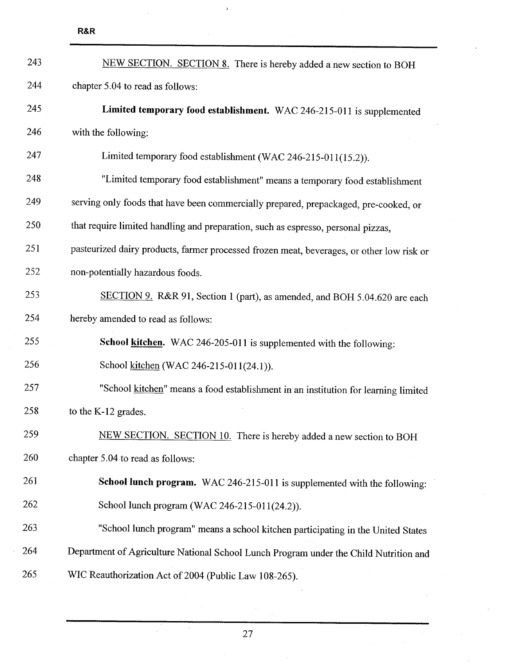| 243 | NEW SECTION. SECTION 8. There is hereby added a new section to BOH                        |
|-----|-------------------------------------------------------------------------------------------|
| 244 | chapter 5.04 to read as follows:                                                          |
| 245 | Limited temporary food establishment. WAC 246-215-011 is supplemented                     |
| 246 | with the following:                                                                       |
| 247 | Limited temporary food establishment (WAC 246-215-011(15.2)).                             |
| 248 | "Limited temporary food establishment" means a temporary food establishment               |
| 249 | serving only foods that have been commercially prepared, prepackaged, pre-cooked, or      |
| 250 | that require limited handling and preparation, such as espresso, personal pizzas,         |
| 251 | pasteurized dairy products, farmer processed frozen meat, beverages, or other low risk or |
| 252 | non-potentially hazardous foods.                                                          |
| 253 | SECTION 9. R&R 91, Section 1 (part), as amended, and BOH 5.04.620 are each                |
| 254 | hereby amended to read as follows:                                                        |
| 255 | School kitchen. WAC 246-205-011 is supplemented with the following:                       |
| 256 | School kitchen (WAC 246-215-011(24.1)).                                                   |
| 257 | "School kitchen" means a food establishment in an institution for learning limited        |
| 258 | to the K-12 grades.                                                                       |
| 259 | NEW SECTION. SECTION 10. There is hereby added a new section to BOH                       |
| 260 | chapter 5.04 to read as follows:                                                          |
| 261 | School lunch program. WAC 246-215-011 is supplemented with the following:                 |
| 262 | School lunch program (WAC 246-215-011(24.2)).                                             |
| 263 | "School lunch program" means a school kitchen participating in the United States          |
| 264 | Department of Agriculture National School Lunch Program under the Child Nutrition and     |
| 265 | WIC Reauthorization Act of 2004 (Public Law 108-265).                                     |

 $\mathbf{z}$ 

J.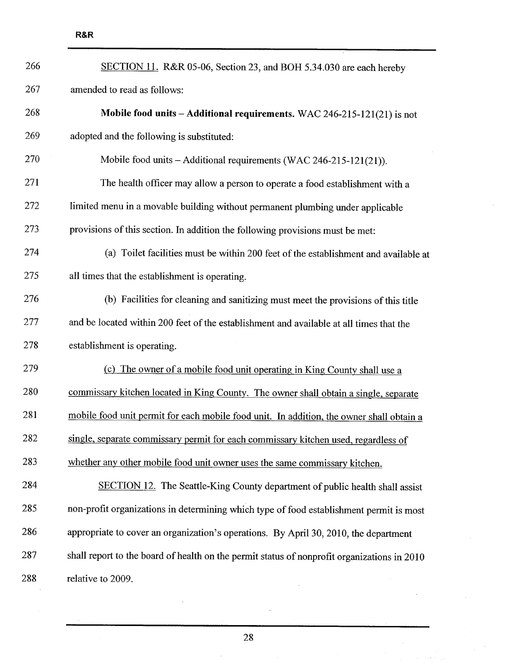| 266 | SECTION 11. R&R 05-06, Section 23, and BOH 5.34.030 are each hereby                         |
|-----|---------------------------------------------------------------------------------------------|
| 267 | amended to read as follows:                                                                 |
| 268 | Mobile food units - Additional requirements. WAC 246-215-121(21) is not                     |
| 269 | adopted and the following is substituted:                                                   |
| 270 | Mobile food units - Additional requirements (WAC 246-215-121(21)).                          |
| 271 | The health officer may allow a person to operate a food establishment with a                |
| 272 | limited menu in a movable building without permanent plumbing under applicable              |
| 273 | provisions of this section. In addition the following provisions must be met:               |
| 274 | (a) Toilet facilities must be within 200 feet of the establishment and available at         |
| 275 | all times that the establishment is operating.                                              |
| 276 | (b) Facilities for cleaning and sanitizing must meet the provisions of this title           |
| 277 | and be located within 200 feet of the establishment and available at all times that the     |
| 278 | establishment is operating.                                                                 |
| 279 | (c) The owner of a mobile food unit operating in King County shall use a                    |
| 280 | commissary kitchen located in King County. The owner shall obtain a single, separate        |
| 281 | mobile food unit permit for each mobile food unit. In addition, the owner shall obtain a    |
| 282 | single, separate commissary permit for each commissary kitchen used, regardless of          |
| 283 | whether any other mobile food unit owner uses the same commissary kitchen.                  |
| 284 | SECTION 12. The Seattle-King County department of public health shall assist                |
| 285 | non-profit organizations in determining which type of food establishment permit is most     |
| 286 | appropriate to cover an organization's operations. By April 30, 2010, the department        |
| 287 | shall report to the board of health on the permit status of nonprofit organizations in 2010 |
| 288 | relative to 2009.                                                                           |

 $\bar{z}$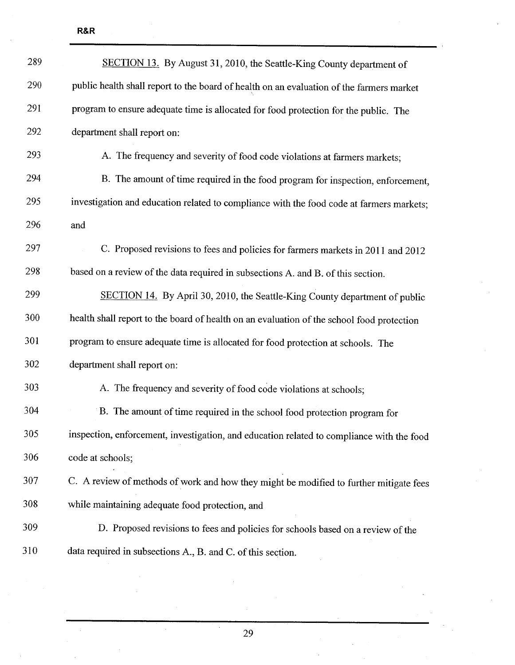| 289 | SECTION 13. By August 31, 2010, the Seattle-King County department of                     |
|-----|-------------------------------------------------------------------------------------------|
| 290 | public health shall report to the board of health on an evaluation of the farmers market  |
| 291 | program to ensure adequate time is allocated for food protection for the public. The      |
| 292 | department shall report on:                                                               |
| 293 | A. The frequency and severity of food code violations at farmers markets;                 |
| 294 | B. The amount of time required in the food program for inspection, enforcement,           |
| 295 | investigation and education related to compliance with the food code at farmers markets;  |
| 296 | and                                                                                       |
| 297 | C. Proposed revisions to fees and policies for farmers markets in 2011 and 2012           |
| 298 | based on a review of the data required in subsections A. and B. of this section.          |
| 299 | SECTION 14. By April 30, 2010, the Seattle-King County department of public               |
| 300 | health shall report to the board of health on an evaluation of the school food protection |
| 301 | program to ensure adequate time is allocated for food protection at schools. The          |
| 302 | department shall report on:                                                               |
| 303 | A. The frequency and severity of food code violations at schools;                         |
| 304 | B. The amount of time required in the school food protection program for                  |
| 305 | inspection, enforcement, investigation, and education related to compliance with the food |
| 306 | code at schools;                                                                          |
| 307 | C. A review of methods of work and how they might be modified to further mitigate fees    |
| 308 | while maintaining adequate food protection, and                                           |
| 309 | D. Proposed revisions to fees and policies for schools based on a review of the           |
| 310 | data required in subsections A., B. and C. of this section.                               |

 $\bar{\gamma}$ 

 $\mathcal{L}$